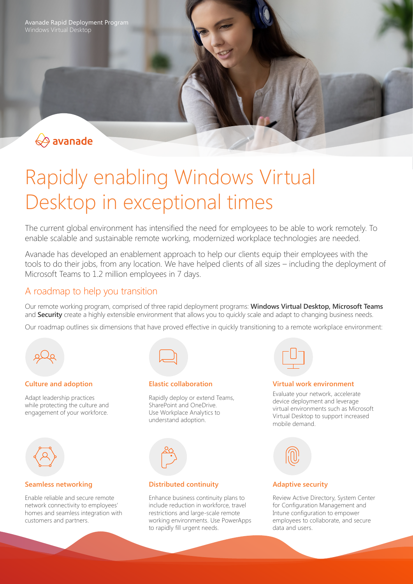Avanade Rapid Deployment Program Windows Virtual Desktop



# Rapidly enabling Windows Virtual Desktop in exceptional times

The current global environment has intensified the need for employees to be able to work remotely. To enable scalable and sustainable remote working, modernized workplace technologies are needed.

Avanade has developed an enablement approach to help our clients equip their employees with the tools to do their jobs, from any location. We have helped clients of all sizes – including the deployment of Microsoft Teams to 1.2 million employees in 7 days.

## A roadmap to help you transition

Our remote working program, comprised of three rapid deployment programs: **Windows Virtual Desktop, Microsoft Teams** and **Security** create a highly extensible environment that allows you to quickly scale and adapt to changing business needs.

Our roadmap outlines six dimensions that have proved effective in quickly transitioning to a remote workplace environment:



## **Culture and adoption**

Adapt leadership practices while protecting the culture and engagement of your workforce.



#### **Seamless networking**

Enable reliable and secure remote network connectivity to employees' homes and seamless integration with customers and partners.



## **Elastic collaboration**

Rapidly deploy or extend Teams, SharePoint and OneDrive. Use Workplace Analytics to understand adoption.



## **Distributed continuity**

Enhance business continuity plans to include reduction in workforce, travel restrictions and large-scale remote working environments. Use PowerApps to rapidly fill urgent needs.



#### **Virtual work environment**

Evaluate your network, accelerate device deployment and leverage virtual environments such as Microsoft Virtual Desktop to support increased mobile demand.



## **Adaptive security**

Review Active Directory, System Center for Configuration Management and Intune configuration to empower employees to collaborate, and secure data and users.